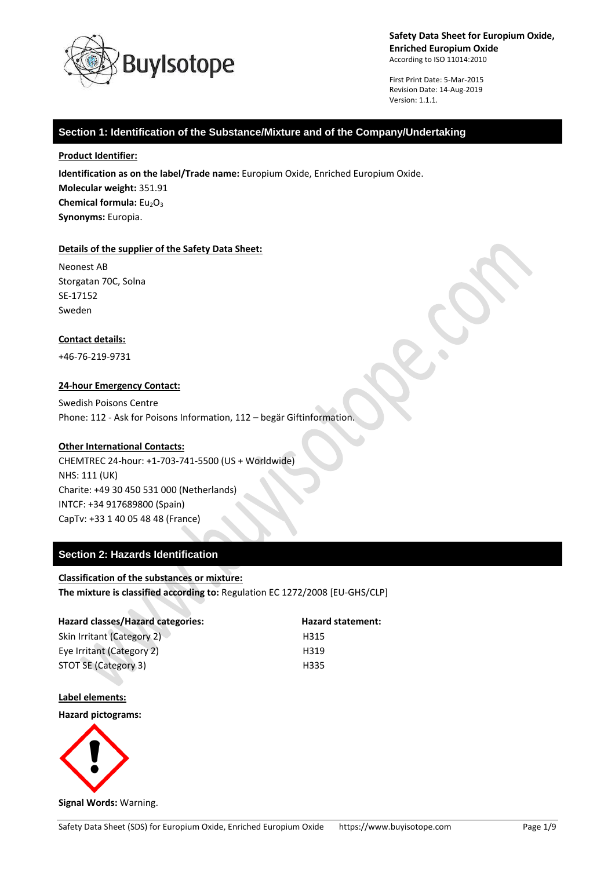

First Print Date: 5-Mar-2015 Revision Date: 14-Aug-2019 Version: 1.1.1.

### **Section 1: Identification of the Substance/Mixture and of the Company/Undertaking**

#### **Product Identifier:**

**Identification as on the label/Trade name:** Europium Oxide, Enriched Europium Oxide. **Molecular weight:** 351.91 **Chemical formula:**  $Eu<sub>2</sub>O<sub>3</sub>$ **Synonyms:** Europia.

#### **Details of the supplier of the Safety Data Sheet:**

Neonest AB Storgatan 70C, Solna SE-17152 Sweden

### **Contact details:**

+46-76-219-9731

### **24-hour Emergency Contact:**

Swedish Poisons Centre Phone: 112 - Ask for Poisons Information, 112 – begär Giftinformation.

### **Other International Contacts:**

CHEMTREC 24-hour: +1-703-741-5500 (US + Worldwide) NHS: 111 (UK) Charite: +49 30 450 531 000 (Netherlands) INTCF: +34 917689800 (Spain) CapTv: +33 1 40 05 48 48 (France)

# **Section 2: Hazards Identification**

### **Classification of the substances or mixture:**

**The mixture is classified according to:** Regulation EC 1272/2008 [EU-GHS/CLP]

| Hazard classes/Hazard categories: | <b>Hazard statement:</b> |
|-----------------------------------|--------------------------|
| Skin Irritant (Category 2)        | H315                     |
| Eye Irritant (Category 2)         | H319                     |
| STOT SE (Category 3)              | H335                     |

#### **Label elements:**

**Hazard pictograms:**

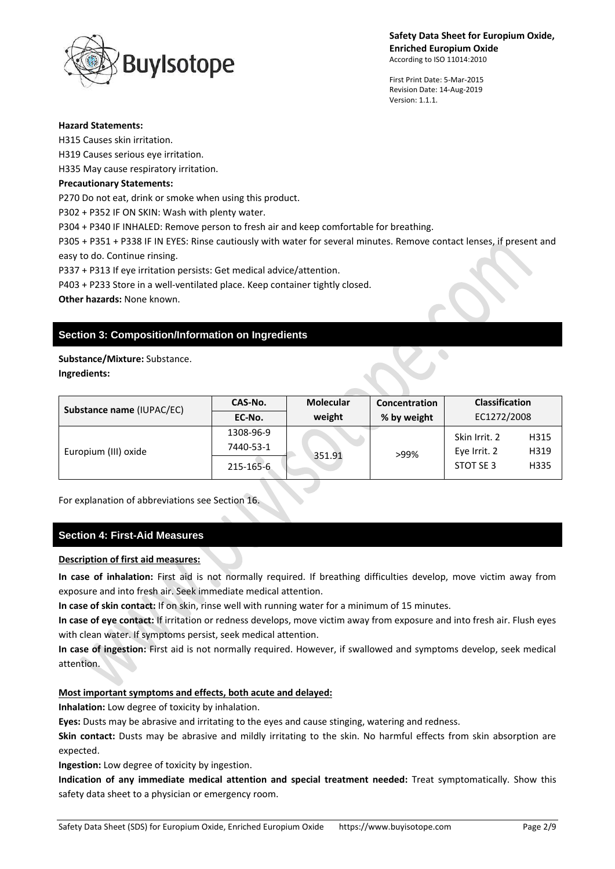

First Print Date: 5-Mar-2015 Revision Date: 14-Aug-2019 Version: 1.1.1.

#### **Hazard Statements:**

H315 Causes skin irritation. H319 Causes serious eye irritation. H335 May cause respiratory irritation. **Precautionary Statements:** P270 Do not eat, drink or smoke when using this product. P302 + P352 IF ON SKIN: Wash with plenty water. P304 + P340 IF INHALED: Remove person to fresh air and keep comfortable for breathing. P305 + P351 + P338 IF IN EYES: Rinse cautiously with water for several minutes. Remove contact lenses, if present and easy to do. Continue rinsing. P337 + P313 If eye irritation persists: Get medical advice/attention.

P403 + P233 Store in a well-ventilated place. Keep container tightly closed.

**Other hazards:** None known.

# **Section 3: Composition/Information on Ingredients**

# **Substance/Mixture:** Substance.

**Ingredients:**

| Substance name (IUPAC/EC) | CAS-No.   | <b>Molecular</b> | Concentration | <b>Classification</b> |      |
|---------------------------|-----------|------------------|---------------|-----------------------|------|
|                           | EC-No.    | weight           | % by weight   | EC1272/2008           |      |
| Europium (III) oxide      | 1308-96-9 | 351.91           | >99%          | Skin Irrit. 2         | H315 |
|                           | 7440-53-1 |                  |               | Eye Irrit. 2          | H319 |
|                           | 215-165-6 |                  |               | STOT SE 3             | H335 |

For explanation of abbreviations see Section 16.

# **Section 4: First-Aid Measures**

# **Description of first aid measures:**

**In case of inhalation:** First aid is not normally required. If breathing difficulties develop, move victim away from exposure and into fresh air. Seek immediate medical attention.

**In case of skin contact:** If on skin, rinse well with running water for a minimum of 15 minutes.

**In case of eye contact:** If irritation or redness develops, move victim away from exposure and into fresh air. Flush eyes with clean water. If symptoms persist, seek medical attention.

**In case of ingestion:** First aid is not normally required. However, if swallowed and symptoms develop, seek medical attention.

### **Most important symptoms and effects, both acute and delayed:**

**Inhalation:** Low degree of toxicity by inhalation.

**Eyes:** Dusts may be abrasive and irritating to the eyes and cause stinging, watering and redness.

**Skin contact:** Dusts may be abrasive and mildly irritating to the skin. No harmful effects from skin absorption are expected.

**Ingestion:** Low degree of toxicity by ingestion.

**Indication of any immediate medical attention and special treatment needed:** Treat symptomatically. Show this safety data sheet to a physician or emergency room.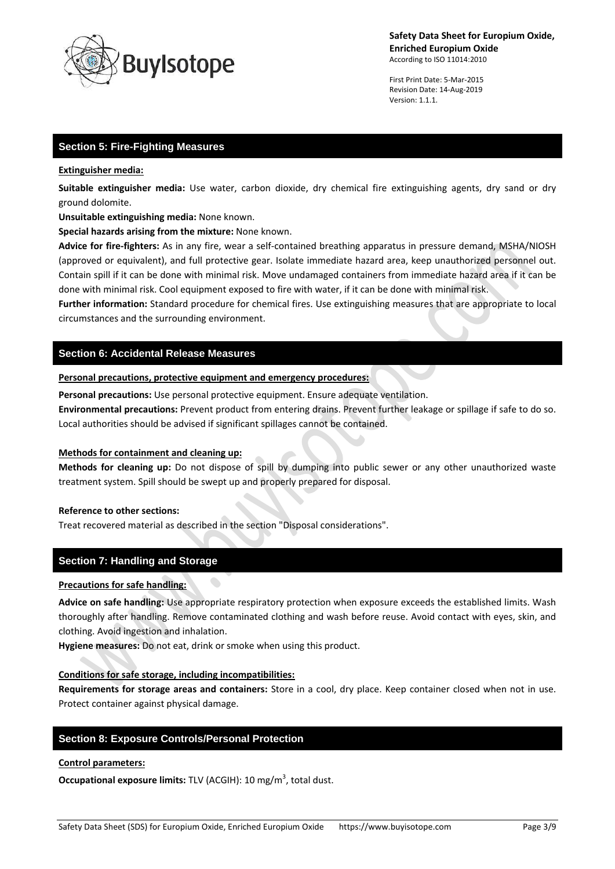

First Print Date: 5-Mar-2015 Revision Date: 14-Aug-2019 Version: 1.1.1.

# **Section 5: Fire-Fighting Measures**

#### **Extinguisher media:**

**Suitable extinguisher media:** Use water, carbon dioxide, dry chemical fire extinguishing agents, dry sand or dry ground dolomite.

**Unsuitable extinguishing media:** None known.

**Special hazards arising from the mixture:** None known.

**Advice for fire-fighters:** As in any fire, wear a self-contained breathing apparatus in pressure demand, MSHA/NIOSH (approved or equivalent), and full protective gear. Isolate immediate hazard area, keep unauthorized personnel out. Contain spill if it can be done with minimal risk. Move undamaged containers from immediate hazard area if it can be done with minimal risk. Cool equipment exposed to fire with water, if it can be done with minimal risk.

**Further information:** Standard procedure for chemical fires. Use extinguishing measures that are appropriate to local circumstances and the surrounding environment.

# **Section 6: Accidental Release Measures**

#### **Personal precautions, protective equipment and emergency procedures:**

**Personal precautions:** Use personal protective equipment. Ensure adequate ventilation.

**Environmental precautions:** Prevent product from entering drains. Prevent further leakage or spillage if safe to do so. Local authorities should be advised if significant spillages cannot be contained.

#### **Methods for containment and cleaning up:**

**Methods for cleaning up:** Do not dispose of spill by dumping into public sewer or any other unauthorized waste treatment system. Spill should be swept up and properly prepared for disposal.

#### **Reference to other sections:**

Treat recovered material as described in the section "Disposal considerations".

### **Section 7: Handling and Storage**

#### **Precautions for safe handling:**

**Advice on safe handling:** Use appropriate respiratory protection when exposure exceeds the established limits. Wash thoroughly after handling. Remove contaminated clothing and wash before reuse. Avoid contact with eyes, skin, and clothing. Avoid ingestion and inhalation.

**Hygiene measures:** Do not eat, drink or smoke when using this product.

#### **Conditions for safe storage, including incompatibilities:**

**Requirements for storage areas and containers:** Store in a cool, dry place. Keep container closed when not in use. Protect container against physical damage.

# **Section 8: Exposure Controls/Personal Protection**

#### **Control parameters:**

**Occupational exposure limits:** TLV (ACGIH): 10 mg/m<sup>3</sup>, total dust.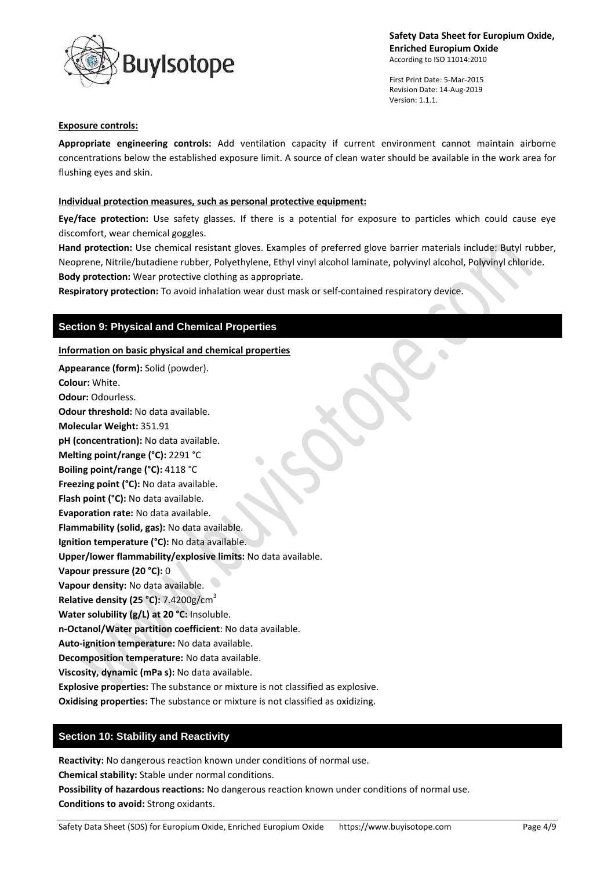



First Print Date: 5-Mar-2015 Revision Date: 14-Aug-2019 Version: 1.1.1.

#### **Exposure controls:**

**Appropriate engineering controls:** Add ventilation capacity if current environment cannot maintain airborne concentrations below the established exposure limit. A source of clean water should be available in the work area for flushing eyes and skin.

### **Individual protection measures, such as personal protective equipment:**

**Eye/face protection:** Use safety glasses. If there is a potential for exposure to particles which could cause eye discomfort, wear chemical goggles.

**Hand protection:** Use chemical resistant gloves. Examples of preferred glove barrier materials include: Butyl rubber, Neoprene, Nitrile/butadiene rubber, Polyethylene, Ethyl vinyl alcohol laminate, polyvinyl alcohol, Polyvinyl chloride. **Body protection:** Wear protective clothing as appropriate.

**Respiratory protection:** To avoid inhalation wear dust mask or self-contained respiratory device.

# **Section 9: Physical and Chemical Properties**

### **Information on basic physical and chemical properties**

**Appearance (form):** Solid (powder). **Colour:** White. **Odour:** Odourless. **Odour threshold:** No data available. **Molecular Weight:** 351.91 **pH (concentration):** No data available. **Melting point/range (°C):** 2291 °C

**Boiling point/range (°C):** 4118 °C **Freezing point (°C):** No data available.

**Flash point (°C):** No data available.

**Evaporation rate:** No data available.

**Flammability (solid, gas):** No data available.

**Ignition temperature (°C):** No data available.

**Upper/lower flammability/explosive limits:** No data available.

**Vapour pressure (20 °C):** 0

**Vapour density:** No data available.

**Relative density (25 °C):** 7.4200g/cm<sup>3</sup>

**Water solubility (g/L) at 20 °C:** Insoluble.

**n-Octanol/Water partition coefficient**: No data available.

**Auto-ignition temperature:** No data available.

**Decomposition temperature:** No data available.

**Viscosity, dynamic (mPa s):** No data available.

**Explosive properties:** The substance or mixture is not classified as explosive.

**Oxidising properties:** The substance or mixture is not classified as oxidizing.

# **Section 10: Stability and Reactivity**

**Reactivity:** No dangerous reaction known under conditions of normal use.

**Chemical stability:** Stable under normal conditions.

**Possibility of hazardous reactions:** No dangerous reaction known under conditions of normal use. **Conditions to avoid:** Strong oxidants.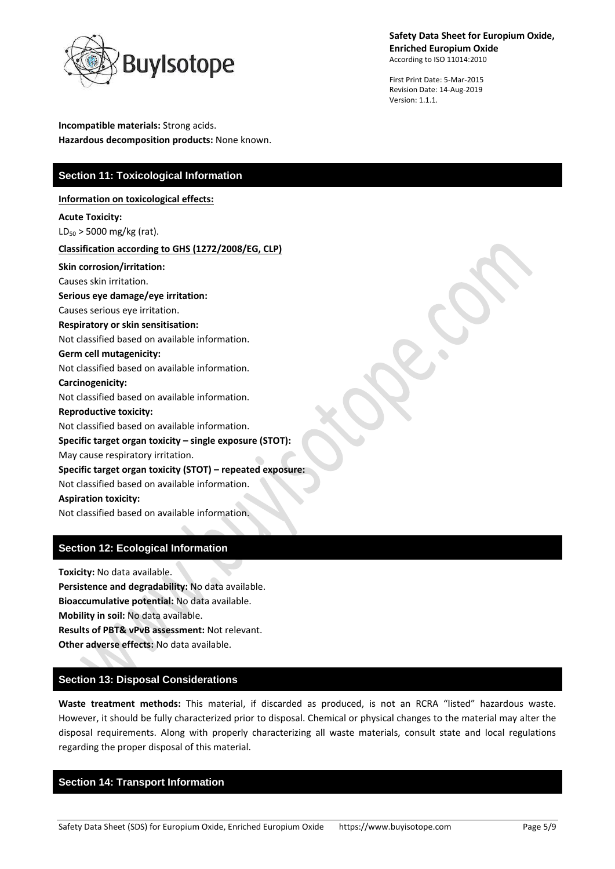

First Print Date: 5-Mar-2015 Revision Date: 14-Aug-2019 Version: 1.1.1.

**Incompatible materials:** Strong acids. **Hazardous decomposition products:** None known.

# **Section 11: Toxicological Information**

**Information on toxicological effects:**

**Acute Toxicity:**  $LD_{50}$  > 5000 mg/kg (rat).

### **Classification according to GHS (1272/2008/EG, CLP)**

**Skin corrosion/irritation:**

Causes skin irritation. **Serious eye damage/eye irritation:** Causes serious eye irritation. **Respiratory or skin sensitisation:**

Not classified based on available information.

### **Germ cell mutagenicity:**

Not classified based on available information. **Carcinogenicity:** Not classified based on available information.

**Reproductive toxicity:**

Not classified based on available information.

**Specific target organ toxicity – single exposure (STOT):**

May cause respiratory irritation.

**Specific target organ toxicity (STOT) – repeated exposure:**

Not classified based on available information.

# **Aspiration toxicity:**

Not classified based on available information.

# **Section 12: Ecological Information**

**Toxicity:** No data available. **Persistence and degradability:** No data available. **Bioaccumulative potential:** No data available. **Mobility in soil:** No data available. **Results of PBT& vPvB assessment:** Not relevant. **Other adverse effects:** No data available.

# **Section 13: Disposal Considerations**

**Waste treatment methods:** This material, if discarded as produced, is not an RCRA "listed" hazardous waste. However, it should be fully characterized prior to disposal. Chemical or physical changes to the material may alter the disposal requirements. Along with properly characterizing all waste materials, consult state and local regulations regarding the proper disposal of this material.

# **Section 14: Transport Information**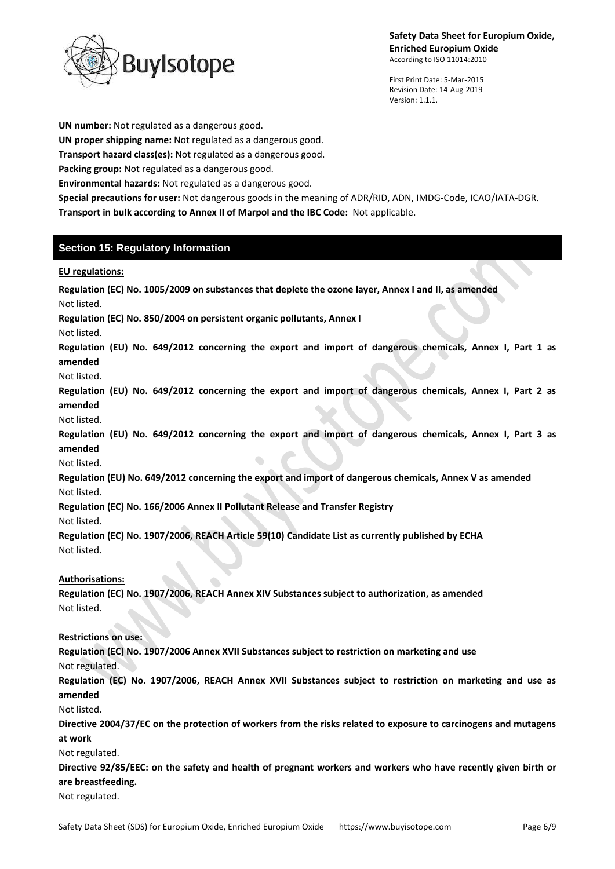

First Print Date: 5-Mar-2015 Revision Date: 14-Aug-2019 Version: 1.1.1.

**UN number:** Not regulated as a dangerous good.

**UN proper shipping name:** Not regulated as a dangerous good.

**Transport hazard class(es):** Not regulated as a dangerous good.

**Packing group:** Not regulated as a dangerous good.

**Environmental hazards:** Not regulated as a dangerous good.

**Special precautions for user:** Not dangerous goods in the meaning of ADR/RID, ADN, IMDG-Code, ICAO/IATA-DGR. **Transport in bulk according to Annex II of Marpol and the IBC Code:** Not applicable.

# **Section 15: Regulatory Information**

### **EU regulations:**

**Regulation (EC) No. 1005/2009 on substances that deplete the ozone layer, Annex I and II, as amended** Not listed.

**Regulation (EC) No. 850/2004 on persistent organic pollutants, Annex I**

Not listed.

**Regulation (EU) No. 649/2012 concerning the export and import of dangerous chemicals, Annex I, Part 1 as amended**

Not listed.

**Regulation (EU) No. 649/2012 concerning the export and import of dangerous chemicals, Annex I, Part 2 as amended**

Not listed.

**Regulation (EU) No. 649/2012 concerning the export and import of dangerous chemicals, Annex I, Part 3 as amended**

Not listed.

**Regulation (EU) No. 649/2012 concerning the export and import of dangerous chemicals, Annex V as amended** Not listed.

**Regulation (EC) No. 166/2006 Annex II Pollutant Release and Transfer Registry**

Not listed.

**Regulation (EC) No. 1907/2006, REACH Article 59(10) Candidate List as currently published by ECHA** Not listed.

# **Authorisations:**

**Regulation (EC) No. 1907/2006, REACH Annex XIV Substances subject to authorization, as amended** Not listed.

# **Restrictions on use:**

**Regulation (EC) No. 1907/2006 Annex XVII Substances subject to restriction on marketing and use** Not regulated.

**Regulation (EC) No. 1907/2006, REACH Annex XVII Substances subject to restriction on marketing and use as amended**

Not listed.

**Directive 2004/37/EC on the protection of workers from the risks related to exposure to carcinogens and mutagens at work**

Not regulated.

**Directive 92/85/EEC: on the safety and health of pregnant workers and workers who have recently given birth or are breastfeeding.**

Not regulated.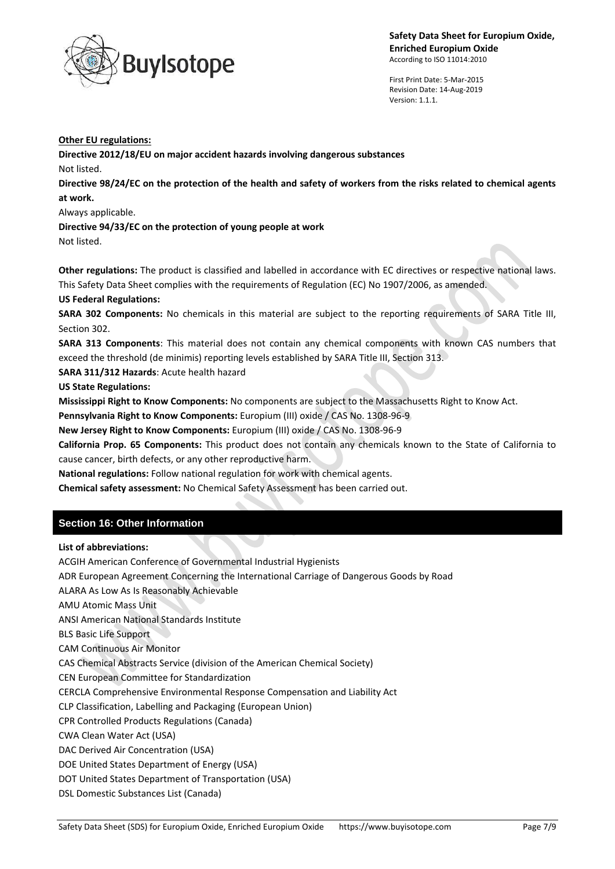

First Print Date: 5-Mar-2015 Revision Date: 14-Aug-2019 Version: 1.1.1.

#### **Other EU regulations:**

**Directive 2012/18/EU on major accident hazards involving dangerous substances**

Not listed.

**Directive 98/24/EC on the protection of the health and safety of workers from the risks related to chemical agents at work.**

Always applicable.

**Directive 94/33/EC on the protection of young people at work**

Not listed.

**Other regulations:** The product is classified and labelled in accordance with EC directives or respective national laws. This Safety Data Sheet complies with the requirements of Regulation (EC) No 1907/2006, as amended.

### **US Federal Regulations:**

**SARA 302 Components:** No chemicals in this material are subject to the reporting requirements of SARA Title III, Section 302.

**SARA 313 Components**: This material does not contain any chemical components with known CAS numbers that exceed the threshold (de minimis) reporting levels established by SARA Title III, Section 313.

**SARA 311/312 Hazards**: Acute health hazard

**US State Regulations:**

**Mississippi Right to Know Components:** No components are subject to the Massachusetts Right to Know Act.

**Pennsylvania Right to Know Components:** Europium (III) oxide / CAS No. 1308-96-9

**New Jersey Right to Know Components:** Europium (III) oxide / CAS No. 1308-96-9

**California Prop. 65 Components:** This product does not contain any chemicals known to the State of California to cause cancer, birth defects, or any other reproductive harm.

**National regulations:** Follow national regulation for work with chemical agents.

**Chemical safety assessment:** No Chemical Safety Assessment has been carried out.

# **Section 16: Other Information**

### **List of abbreviations:**

ACGIH American Conference of Governmental Industrial Hygienists

ADR European Agreement Concerning the International Carriage of Dangerous Goods by Road

ALARA As Low As Is Reasonably Achievable

AMU Atomic Mass Unit

ANSI American National Standards Institute

BLS Basic Life Support

CAM Continuous Air Monitor

CAS Chemical Abstracts Service (division of the American Chemical Society)

CEN European Committee for Standardization

CERCLA Comprehensive Environmental Response Compensation and Liability Act

CLP Classification, Labelling and Packaging (European Union)

CPR Controlled Products Regulations (Canada)

CWA Clean Water Act (USA)

DAC Derived Air Concentration (USA)

DOE United States Department of Energy (USA)

DOT United States Department of Transportation (USA)

DSL Domestic Substances List (Canada)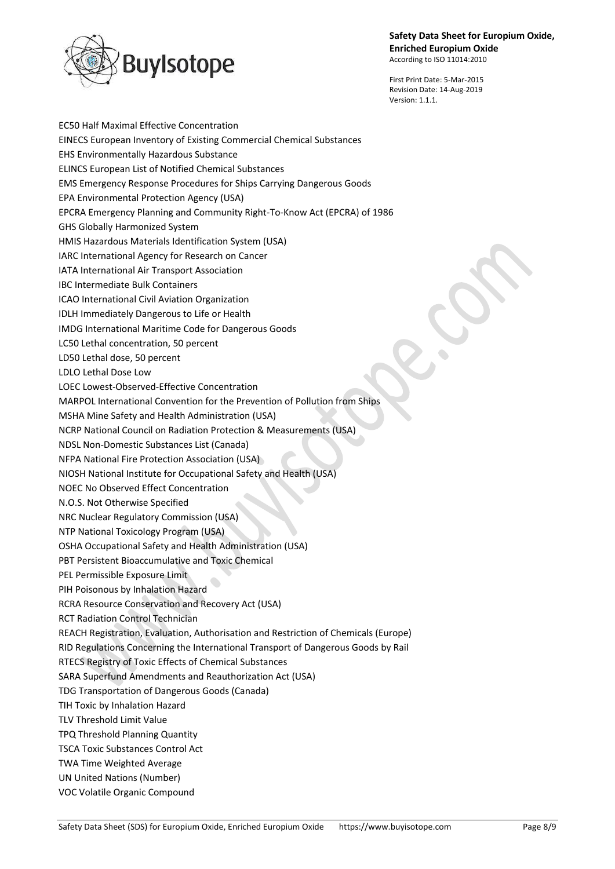

First Print Date: 5-Mar-2015 Revision Date: 14-Aug-2019 Version: 1.1.1.

EC50 Half Maximal Effective Concentration EINECS European Inventory of Existing Commercial Chemical Substances EHS Environmentally Hazardous Substance ELINCS European List of Notified Chemical Substances EMS Emergency Response Procedures for Ships Carrying Dangerous Goods EPA Environmental Protection Agency (USA) EPCRA Emergency Planning and Community Right-To-Know Act (EPCRA) of 1986 GHS Globally Harmonized System HMIS Hazardous Materials Identification System (USA) IARC International Agency for Research on Cancer IATA International Air Transport Association IBC Intermediate Bulk Containers ICAO International Civil Aviation Organization IDLH Immediately Dangerous to Life or Health IMDG International Maritime Code for Dangerous Goods LC50 Lethal concentration, 50 percent LD50 Lethal dose, 50 percent LDLO Lethal Dose Low LOEC Lowest-Observed-Effective Concentration MARPOL International Convention for the Prevention of Pollution from Ships MSHA Mine Safety and Health Administration (USA) NCRP National Council on Radiation Protection & Measurements (USA) NDSL Non-Domestic Substances List (Canada) NFPA National Fire Protection Association (USA) NIOSH National Institute for Occupational Safety and Health (USA) NOEC No Observed Effect Concentration N.O.S. Not Otherwise Specified NRC Nuclear Regulatory Commission (USA) NTP National Toxicology Program (USA) OSHA Occupational Safety and Health Administration (USA) PBT Persistent Bioaccumulative and Toxic Chemical PEL Permissible Exposure Limit PIH Poisonous by Inhalation Hazard RCRA Resource Conservation and Recovery Act (USA) RCT Radiation Control Technician REACH Registration, Evaluation, Authorisation and Restriction of Chemicals (Europe) RID Regulations Concerning the International Transport of Dangerous Goods by Rail RTECS Registry of Toxic Effects of Chemical Substances SARA Superfund Amendments and Reauthorization Act (USA) TDG Transportation of Dangerous Goods (Canada) TIH Toxic by Inhalation Hazard TLV Threshold Limit Value TPQ Threshold Planning Quantity TSCA Toxic Substances Control Act TWA Time Weighted Average UN United Nations (Number) VOC Volatile Organic Compound